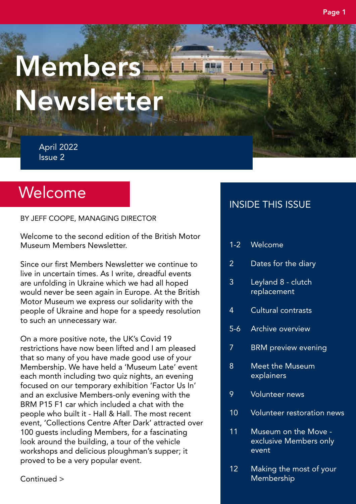# **Members** Newsletter

April 2022 Issue 2

# Welcome

BY JEFF COOPE, MANAGING DIRECTOR

Welcome to the second edition of the British Motor Museum Members Newsletter.

Since our first Members Newsletter we continue to live in uncertain times. As I write, dreadful events are unfolding in Ukraine which we had all hoped would never be seen again in Europe. At the British Motor Museum we express our solidarity with the people of Ukraine and hope for a speedy resolution to such an unnecessary war.

On a more positive note, the UK's Covid 19 restrictions have now been lifted and I am pleased that so many of you have made good use of your Membership. We have held a 'Museum Late' event each month including two quiz nights, an evening focused on our temporary exhibition 'Factor Us In' and an exclusive Members-only evening with the BRM P15 F1 car which included a chat with the people who built it - Hall & Hall. The most recent event, 'Collections Centre After Dark' attracted over 100 guests including Members, for a fascinating look around the building, a tour of the vehicle workshops and delicious ploughman's supper; it proved to be a very popular event.

INSIDE THIS ISSUE

- 1-2 Welcome
- 2 Dates for the diary
- 3 Leyland 8 clutch replacement
- 4 Cultural contrasts
- 5-6 Archive overview
- 7 BRM preview evening
- 8 Meet the Museum explainers
- 9 Volunteer news
- 10 Volunteer restoration news
- 11 Museum on the Move exclusive Members only event
- 12 Making the most of your Membership

Continued >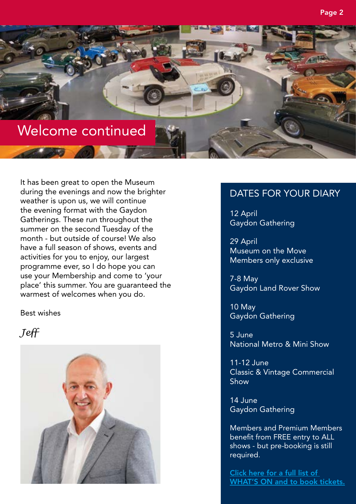

It has been great to open the Museum during the evenings and now the brighter weather is upon us, we will continue the evening format with the Gaydon Gatherings. These run throughout the summer on the second Tuesday of the month - but outside of course! We also have a full season of shows, events and activities for you to enjoy, our largest programme ever, so I do hope you can use your Membership and come to 'your place' this summer. You are guaranteed the warmest of welcomes when you do.

Best wishes

#### *Jeff*



#### DATES FOR YOUR DIARY

12 April Gaydon Gathering

29 April Museum on the Move Members only exclusive

7-8 May Gaydon Land Rover Show

10 May Gaydon Gathering

5 June National Metro & Mini Show

11-12 June Classic & Vintage Commercial Show

14 June Gaydon Gathering

Members and Premium Members benefit from FREE entry to ALL shows - but pre-booking is still required.

[Click here for a full list of](https://www.britishmotormuseum.co.uk/whats-on)  [WHAT'S ON](https://www.britishmotormuseum.co.uk/whats-on) and to book tickets.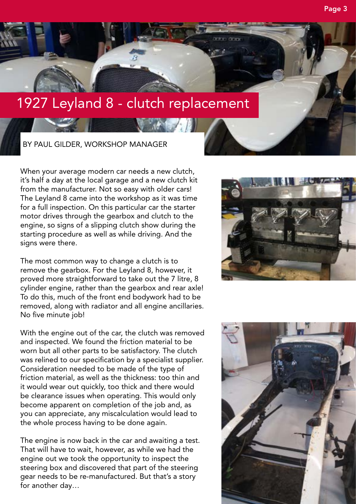

When your average modern car needs a new clutch, it's half a day at the local garage and a new clutch kit from the manufacturer. Not so easy with older cars! The Leyland 8 came into the workshop as it was time for a full inspection. On this particular car the starter motor drives through the gearbox and clutch to the engine, so signs of a slipping clutch show during the starting procedure as well as while driving. And the signs were there.

The most common way to change a clutch is to remove the gearbox. For the Leyland 8, however, it proved more straightforward to take out the 7 litre, 8 cylinder engine, rather than the gearbox and rear axle! To do this, much of the front end bodywork had to be removed, along with radiator and all engine ancillaries. No five minute job!

With the engine out of the car, the clutch was removed and inspected. We found the friction material to be worn but all other parts to be satisfactory. The clutch was relined to our specification by a specialist supplier. Consideration needed to be made of the type of friction material, as well as the thickness: too thin and it would wear out quickly, too thick and there would be clearance issues when operating. This would only become apparent on completion of the job and, as you can appreciate, any miscalculation would lead to the whole process having to be done again.

The engine is now back in the car and awaiting a test. That will have to wait, however, as while we had the engine out we took the opportunity to inspect the steering box and discovered that part of the steering gear needs to be re-manufactured. But that's a story for another day…



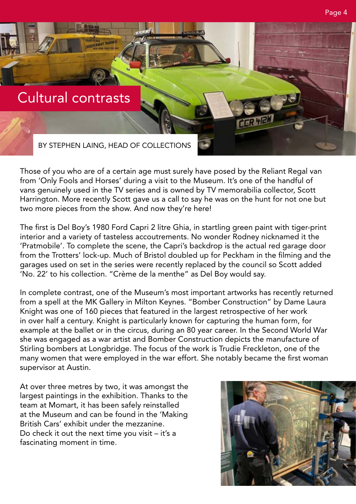### Cultural contrasts

**FARTTLES**<br>INGENERATION

BY STEPHEN LAING, HEAD OF COLLECTIONS

Those of you who are of a certain age must surely have posed by the Reliant Regal van from 'Only Fools and Horses' during a visit to the Museum. It's one of the handful of vans genuinely used in the TV series and is owned by TV memorabilia collector, Scott Harrington. More recently Scott gave us a call to say he was on the hunt for not one but two more pieces from the show. And now they're here!

The first is Del Boy's 1980 Ford Capri 2 litre Ghia, in startling green paint with tiger-print interior and a variety of tasteless accoutrements. No wonder Rodney nicknamed it the 'Pratmobile'. To complete the scene, the Capri's backdrop is the actual red garage door from the Trotters' lock-up. Much of Bristol doubled up for Peckham in the filming and the garages used on set in the series were recently replaced by the council so Scott added 'No. 22' to his collection. "Crème de la menthe" as Del Boy would say.

In complete contrast, one of the Museum's most important artworks has recently returned from a spell at the MK Gallery in Milton Keynes. "Bomber Construction" by Dame Laura Knight was one of 160 pieces that featured in the largest retrospective of her work in over half a century. Knight is particularly known for capturing the human form, for example at the ballet or in the circus, during an 80 year career. In the Second World War she was engaged as a war artist and Bomber Construction depicts the manufacture of Stirling bombers at Longbridge. The focus of the work is Trudie Freckleton, one of the many women that were employed in the war effort. She notably became the first woman supervisor at Austin.

At over three metres by two, it was amongst the largest paintings in the exhibition. Thanks to the team at Momart, it has been safely reinstalled at the Museum and can be found in the 'Making British Cars' exhibit under the mezzanine. Do check it out the next time you visit – it's a fascinating moment in time.

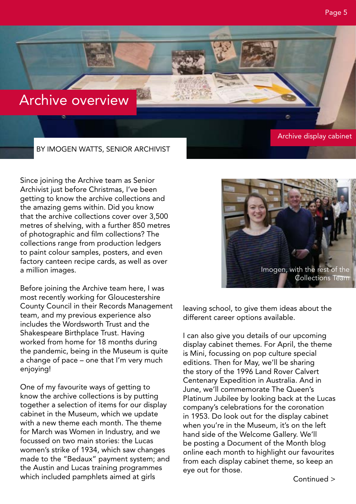## Archive overview

BY IMOGEN WATTS, SENIOR ARCHIVIST

Since joining the Archive team as Senior Archivist just before Christmas, I've been getting to know the archive collections and the amazing gems within. Did you know that the archive collections cover over 3,500 metres of shelving, with a further 850 metres of photographic and film collections? The collections range from production ledgers to paint colour samples, posters, and even factory canteen recipe cards, as well as over a million images.

Before joining the Archive team here, I was most recently working for Gloucestershire County Council in their Records Management team, and my previous experience also includes the Wordsworth Trust and the Shakespeare Birthplace Trust. Having worked from home for 18 months during the pandemic, being in the Museum is quite a change of pace – one that I'm very much enjoying!

One of my favourite ways of getting to know the archive collections is by putting together a selection of items for our display cabinet in the Museum, which we update with a new theme each month. The theme for March was Women in Industry, and we focussed on two main stories: the Lucas women's strike of 1934, which saw changes made to the "Bedaux" payment system; and the Austin and Lucas training programmes which included pamphlets aimed at girls

leaving school, to give them ideas about the different career options available.

I can also give you details of our upcoming display cabinet themes. For April, the theme is Mini, focussing on pop culture special editions. Then for May, we'll be sharing the story of the 1996 Land Rover Calvert Centenary Expedition in Australia. And in June, we'll commemorate The Queen's Platinum Jubilee by looking back at the Lucas company's celebrations for the coronation in 1953. Do look out for the display cabinet when you're in the Museum, it's on the left hand side of the Welcome Gallery. We'll be posting a Document of the Month blog online each month to highlight our favourites from each display cabinet theme, so keep an eye out for those.



Archive display cabinet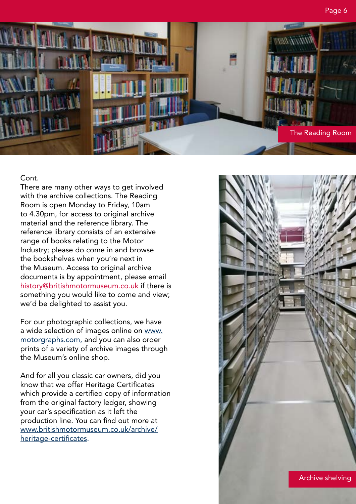

#### Cont.

There are many other ways to get involved with the archive collections. The Reading Room is open Monday to Friday, 10am to 4.30pm, for access to original archive material and the reference library. The reference library consists of an extensive range of books relating to the Motor Industry; please do come in and browse the bookshelves when you're next in the Museum. Access to original archive documents is by appointment, please email [history@britishmotormuseum.co.uk](mailto:history%40britishmotormuseum.co.uk?subject=Archive%20appointment) if there is something you would like to come and view; we'd be delighted to assist you.

For our photographic collections, we have a wide selection of images online on [www.](http://www.motorgraphs.com/) [motorgraphs.com](http://www.motorgraphs.com/), and you can also order prints of a variety of archive images through the Museum's online shop.

And for all you classic car owners, did you know that we offer Heritage Certificates which provide a certified copy of information from the original factory ledger, showing your car's specification as it left the production line. You can find out more at [www.britishmotormuseum.co.uk/archive/](http://www.britishmotormuseum.co.uk/archive/heritage-certificates) [heritage-certificates.](http://www.britishmotormuseum.co.uk/archive/heritage-certificates)

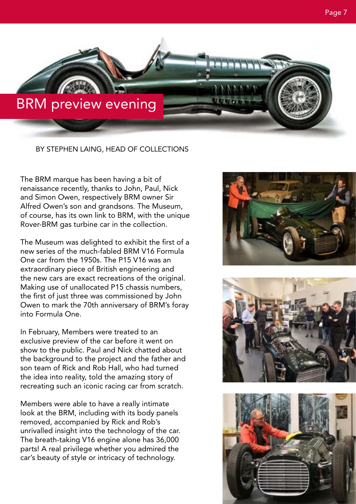

BY STEPHEN LAING, HEAD OF COLLECTIONS

The BRM marque has been having a bit of renaissance recently, thanks to John, Paul, Nick and Simon Owen, respectively BRM owner Sir Alfred Owen's son and grandsons. The Museum, of course, has its own link to BRM, with the unique Rover-BRM gas turbine car in the collection.

The Museum was delighted to exhibit the first of a new series of the much-fabled BRM V16 Formula One car from the 1950s. The P15 V16 was an extraordinary piece of British engineering and the new cars are exact recreations of the original. Making use of unallocated P15 chassis numbers, the first of just three was commissioned by John Owen to mark the 70th anniversary of BRM's foray into Formula One.

In February, Members were treated to an exclusive preview of the car before it went on show to the public. Paul and Nick chatted about the background to the project and the father and son team of Rick and Rob Hall, who had turned the idea into reality, told the amazing story of recreating such an iconic racing car from scratch.

Members were able to have a really intimate look at the BRM, including with its body panels removed, accompanied by Rick and Rob's unrivalled insight into the technology of the car. The breath-taking V16 engine alone has 36,000 parts! A real privilege whether you admired the car's beauty of style or intricacy of technology.





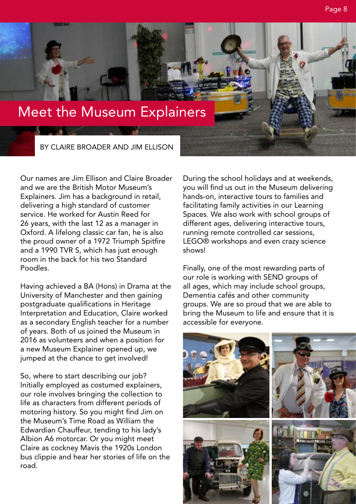# Meet the Museum Explainers

BY CLAIRE BROADER AND JIM ELLISON

Our names are Jim Ellison and Claire Broader and we are the British Motor Museum's Explainers. Jim has a background in retail, delivering a high standard of customer service. He worked for Austin Reed for 26 years, with the last 12 as a manager in Oxford. A lifelong classic car fan, he is also the proud owner of a 1972 Triumph Spitfire and a 1990 TVR S, which has just enough room in the back for his two Standard Poodles.

Having achieved a BA (Hons) in Drama at the University of Manchester and then gaining postgraduate qualifications in Heritage Interpretation and Education, Claire worked as a secondary English teacher for a number of years. Both of us joined the Museum in 2016 as volunteers and when a position for a new Museum Explainer opened up, we jumped at the chance to get involved!

So, where to start describing our job? Initially employed as costumed explainers, our role involves bringing the collection to life as characters from different periods of motoring history. So you might find Jim on the Museum's Time Road as William the Edwardian Chauffeur, tending to his lady's Albion A6 motorcar. Or you might meet Claire as cockney Mavis the 1920s London bus clippie and hear her stories of life on the road.

During the school holidays and at weekends, you will find us out in the Museum delivering hands-on, interactive tours to families and facilitating family activities in our Learning Spaces. We also work with school groups of different ages, delivering interactive tours, running remote controlled car sessions, LEGO® workshops and even crazy science shows!

Finally, one of the most rewarding parts of our role is working with SEND groups of all ages, which may include school groups, Dementia cafés and other community groups. We are so proud that we are able to bring the Museum to life and ensure that it is accessible for everyone.

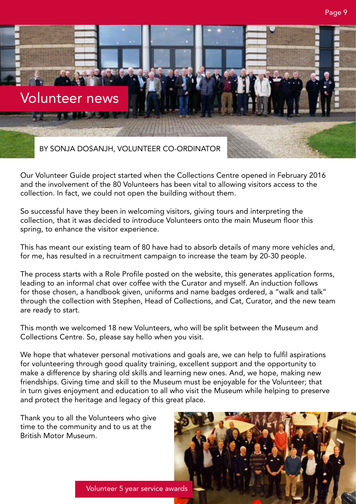

Our Volunteer Guide project started when the Collections Centre opened in February 2016 and the involvement of the 80 Volunteers has been vital to allowing visitors access to the collection. In fact, we could not open the building without them.

So successful have they been in welcoming visitors, giving tours and interpreting the collection, that it was decided to introduce Volunteers onto the main Museum floor this spring, to enhance the visitor experience.

This has meant our existing team of 80 have had to absorb details of many more vehicles and, for me, has resulted in a recruitment campaign to increase the team by 20-30 people.

The process starts with a Role Profile posted on the website, this generates application forms, leading to an informal chat over coffee with the Curator and myself. An induction follows for those chosen, a handbook given, uniforms and name badges ordered, a "walk and talk" through the collection with Stephen, Head of Collections, and Cat, Curator, and the new team are ready to start.

This month we welcomed 18 new Volunteers, who will be split between the Museum and Collections Centre. So, please say hello when you visit.

We hope that whatever personal motivations and goals are, we can help to fulfil aspirations for volunteering through good quality training, excellent support and the opportunity to make a difference by sharing old skills and learning new ones. And, we hope, making new friendships. Giving time and skill to the Museum must be enjoyable for the Volunteer; that in turn gives enjoyment and education to all who visit the Museum while helping to preserve and protect the heritage and legacy of this great place.

Thank you to all the Volunteers who give time to the community and to us at the British Motor Museum.

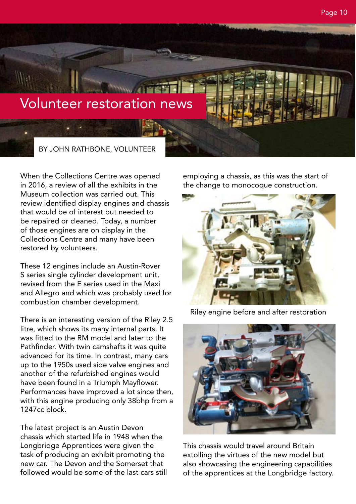Page 10

## Volunteer restoration news

BY JOHN RATHBONE, VOLUNTEER

When the Collections Centre was opened in 2016, a review of all the exhibits in the Museum collection was carried out. This review identified display engines and chassis that would be of interest but needed to be repaired or cleaned. Today, a number of those engines are on display in the Collections Centre and many have been restored by volunteers.

These 12 engines include an Austin-Rover S series single cylinder development unit, revised from the E series used in the Maxi and Allegro and which was probably used for combustion chamber development.

There is an interesting version of the Riley 2.5 litre, which shows its many internal parts. It was fitted to the RM model and later to the Pathfinder. With twin camshafts it was quite advanced for its time. In contrast, many cars up to the 1950s used side valve engines and another of the refurbished engines would have been found in a Triumph Mayflower. Performances have improved a lot since then, with this engine producing only 38bhp from a 1247cc block.

The latest project is an Austin Devon chassis which started life in 1948 when the Longbridge Apprentices were given the task of producing an exhibit promoting the new car. The Devon and the Somerset that followed would be some of the last cars still

employing a chassis, as this was the start of the change to monocoque construction.



Riley engine before and after restoration



This chassis would travel around Britain extolling the virtues of the new model but also showcasing the engineering capabilities of the apprentices at the Longbridge factory.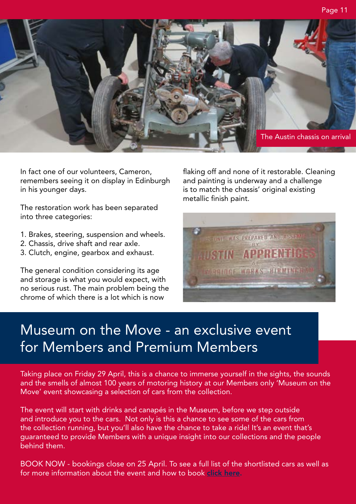

In fact one of our volunteers, Cameron, remembers seeing it on display in Edinburgh in his younger days.

The restoration work has been separated into three categories:

- 1. Brakes, steering, suspension and wheels.
- 2. Chassis, drive shaft and rear axle.
- 3. Clutch, engine, gearbox and exhaust.

The general condition considering its age and storage is what you would expect, with no serious rust. The main problem being the chrome of which there is a lot which is now

flaking off and none of it restorable. Cleaning and painting is underway and a challenge is to match the chassis' original existing metallic finish paint.



# Museum on the Move - an exclusive event for Members and Premium Members

Taking place on Friday 29 April, this is a chance to immerse yourself in the sights, the sounds and the smells of almost 100 years of motoring history at our Members only 'Museum on the Move' event showcasing a selection of cars from the collection.

The event will start with drinks and canapés in the Museum, before we step outside and introduce you to the cars. Not only is this a chance to see some of the cars from the collection running, but you'll also have the chance to take a ride! It's an event that's guaranteed to provide Members with a unique insight into our collections and the people behind them.

BOOK NOW - bookings close on 25 April. To see a full list of the shortlisted cars as well as for more information about the event and how to book [click here](https://www.britishmotormuseum.co.uk/whats-on/museum-on-the-move ).